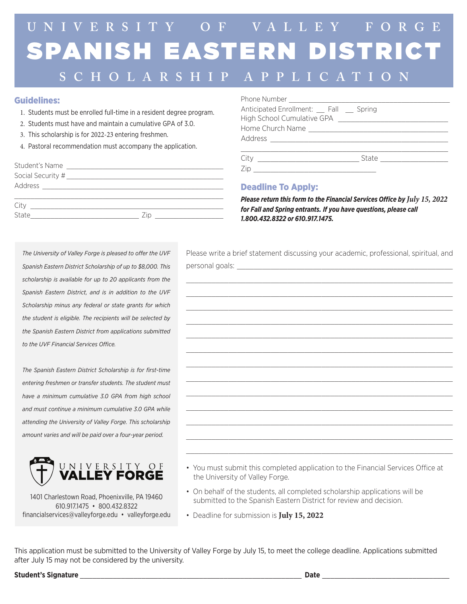# SPANISH EASTERN DISTRICT **U N I V E R S I T Y O F VA LLE Y F O R G E**

## **SCHOLARSHIP APPLICATION**

#### Guidelines:

- 1. Students must be enrolled full-time in a resident degree program.
- 2. Students must have and maintain a cumulative GPA of 3.0.
- 3. This scholarship is for 2022-23 entering freshmen.
- 4. Pastoral recommendation must accompany the application.

| City  |     |  |
|-------|-----|--|
| State | /10 |  |
|       |     |  |

| Anticipated Enrollment: Fall Spring                                                                                                                                                                                            |                        |
|--------------------------------------------------------------------------------------------------------------------------------------------------------------------------------------------------------------------------------|------------------------|
| High School Cumulative GPA [198] [198] [198] [198] [198] [198] [198] [198] [198] [198] [198] [198] [198] [198] [198] [198] [198] [198] [198] [198] [198] [198] [198] [198] [198] [198] [198] [198] [198] [198] [198] [198] [19 |                        |
|                                                                                                                                                                                                                                |                        |
|                                                                                                                                                                                                                                |                        |
|                                                                                                                                                                                                                                |                        |
| City<br><u> 1980 - John Stein, Amerikaansk politiker (</u>                                                                                                                                                                     | State <u>_________</u> |
|                                                                                                                                                                                                                                |                        |

#### Deadline To Apply:

*Please return this form to the Financial Services Office by July 15, 2022 for Fall and Spring entrants. If you have questions, please call 1.800.432.8322 or 610.917.1475.*

*The University of Valley Forge is pleased to offer the UVF Spanish Eastern District Scholarship of up to \$8,000. This scholarship is available for up to 20 applicants from the Spanish Eastern District, and is in addition to the UVF Scholarship minus any federal or state grants for which the student is eligible. The recipients will be selected by the Spanish Eastern District from applications submitted to the UVF Financial Services Office.*

*The Spanish Eastern District Scholarship is for first-time entering freshmen or transfer students. The student must have a minimum cumulative 3.0 GPA from high school and must continue a minimum cumulative 3.0 GPA while attending the University of Valley Forge. This scholarship amount varies and will be paid over a four-year period.*



1401 Charlestown Road, Phoenixville, PA 19460 610.917.1475 • 800.432.8322 financialservices@valleyforge.edu • valleyforge.edu Please write a brief statement discussing your academic, professional, spiritual, and personal goals:

 $\_$  , and the set of the set of the set of the set of the set of the set of the set of the set of the set of the set of the set of the set of the set of the set of the set of the set of the set of the set of the set of th  $\_$  , and the set of the set of the set of the set of the set of the set of the set of the set of the set of the set of the set of the set of the set of the set of the set of the set of the set of the set of the set of th  $\_$  , and the set of the set of the set of the set of the set of the set of the set of the set of the set of the set of the set of the set of the set of the set of the set of the set of the set of the set of the set of th  $\_$  , and the set of the set of the set of the set of the set of the set of the set of the set of the set of the set of the set of the set of the set of the set of the set of the set of the set of the set of the set of th  $\_$  , and the set of the set of the set of the set of the set of the set of the set of the set of the set of the set of the set of the set of the set of the set of the set of the set of the set of the set of the set of th \_\_\_\_\_\_\_\_\_\_\_\_\_\_\_\_\_\_\_\_\_\_\_\_\_\_\_\_\_\_\_\_\_\_\_\_\_\_\_\_\_\_\_\_\_\_\_\_\_\_\_\_\_\_\_\_\_\_\_\_\_\_\_  $\_$  , and the set of the set of the set of the set of the set of the set of the set of the set of the set of the set of the set of the set of the set of the set of the set of the set of the set of the set of the set of th  $\_$  , and the set of the set of the set of the set of the set of the set of the set of the set of the set of the set of the set of the set of the set of the set of the set of the set of the set of the set of the set of th \_\_\_\_\_\_\_\_\_\_\_\_\_\_\_\_\_\_\_\_\_\_\_\_\_\_\_\_\_\_\_\_\_\_\_\_\_\_\_\_\_\_\_\_\_\_\_\_\_\_\_\_\_\_\_\_\_\_\_\_\_\_\_  $\_$  , and the set of the set of the set of the set of the set of the set of the set of the set of the set of the set of the set of the set of the set of the set of the set of the set of the set of the set of the set of th  $\_$  , and the set of the set of the set of the set of the set of the set of the set of the set of the set of the set of the set of the set of the set of the set of the set of the set of the set of the set of the set of th \_\_\_\_\_\_\_\_\_\_\_\_\_\_\_\_\_\_\_\_\_\_\_\_\_\_\_\_\_\_\_\_\_\_\_\_\_\_\_\_\_\_\_\_\_\_\_\_\_\_\_\_\_\_\_\_\_\_\_\_\_\_\_  $\_$  , and the set of the set of the set of the set of the set of the set of the set of the set of the set of the set of the set of the set of the set of the set of the set of the set of the set of the set of the set of th

- You must submit this completed application to the Financial Services Office at the University of Valley Forge.
- On behalf of the students, all completed scholarship applications will be submitted to the Spanish Eastern District for review and decision.
- Deadline for submission is **July 15, 2022**

This application must be submitted to the University of Valley Forge by July 15, to meet the college deadline. Applications submitted after July 15 may not be considered by the university.